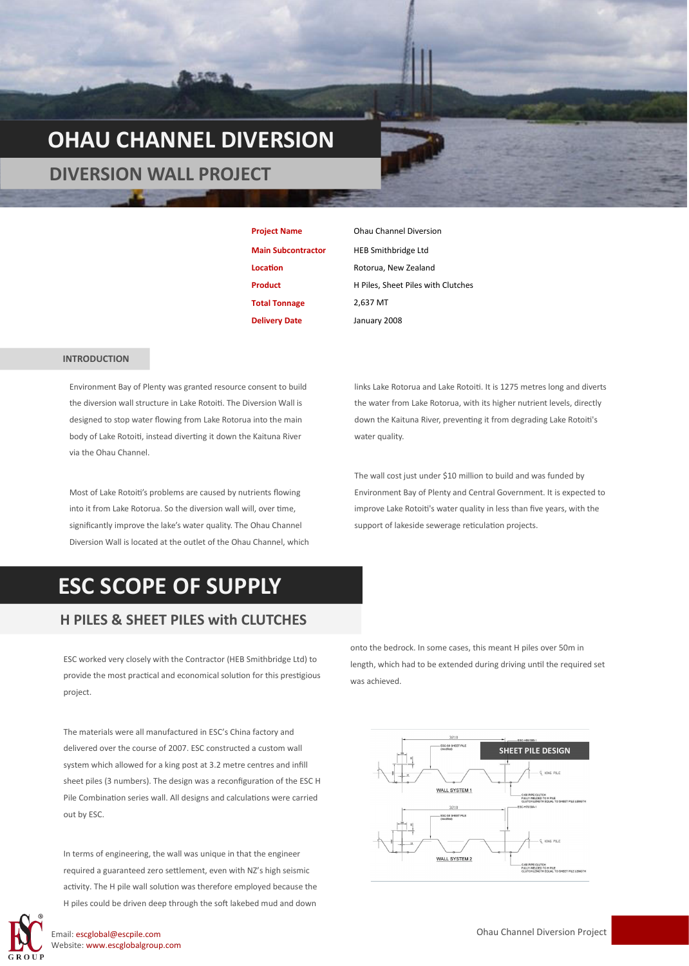# **OHAU CHANNEL DIVERSION**

 **DIVERSION WALL PROJECT**

| <b>Project Name</b>       |
|---------------------------|
| <b>Main Subcontractor</b> |
| Location                  |
| <b>Product</b>            |
| <b>Total Tonnage</b>      |
| <b>Delivery Date</b>      |

*<u>Ohau Channel Diversion</u>* **HEB Smithbridge Ltd Location** Rotorua, New Zealand **H Piles, Sheet Piles with Clutches Total Tonnage** 2,637 MT January 2008

#### **INTRODUCTION**

Environment Bay of Plenty was granted resource consent to build the diversion wall structure in Lake Rotoiti. The Diversion Wall is designed to stop water flowing from Lake Rotorua into the main body of Lake Rotoiti, instead diverting it down the Kaituna River via the Ohau Channel.

Most of Lake Rotoiti's problems are caused by nutrients flowing into it from Lake Rotorua. So the diversion wall will, over time, significantly improve the lake's water quality. The Ohau Channel Diversion Wall is located at the outlet of the Ohau Channel, which links Lake Rotorua and Lake Rotoiti. It is 1275 metres long and diverts the water from Lake Rotorua, with its higher nutrient levels, directly down the Kaituna River, preventing it from degrading Lake Rotoiti's water quality.

The wall cost just under \$10 million to build and was funded by Environment Bay of Plenty and Central Government. It is expected to improve Lake Rotoiti's water quality in less than five years, with the support of lakeside sewerage reticulation projects.

### **ESC SCOPE OF SUPPLY**

### **H PILES & SHEET PILES with CLUTCHES**

ESC worked very closely with the Contractor (HEB Smithbridge Ltd) to provide the most practical and economical solution for this prestigious project.

The materials were all manufactured in ESC's China factory and delivered over the course of 2007. ESC constructed a custom wall system which allowed for a king post at 3.2 metre centres and infill sheet piles (3 numbers). The design was a reconfiguration of the ESC H Pile Combination series wall. All designs and calculations were carried out by ESC.

In terms of engineering, the wall was unique in that the engineer required a guaranteed zero settlement, even with NZ's high seismic activity. The H pile wall solution was therefore employed because the H piles could be driven deep through the soft lakebed mud and down onto the bedrock. In some cases, this meant H piles over 50m in length, which had to be extended during driving until the required set was achieved.



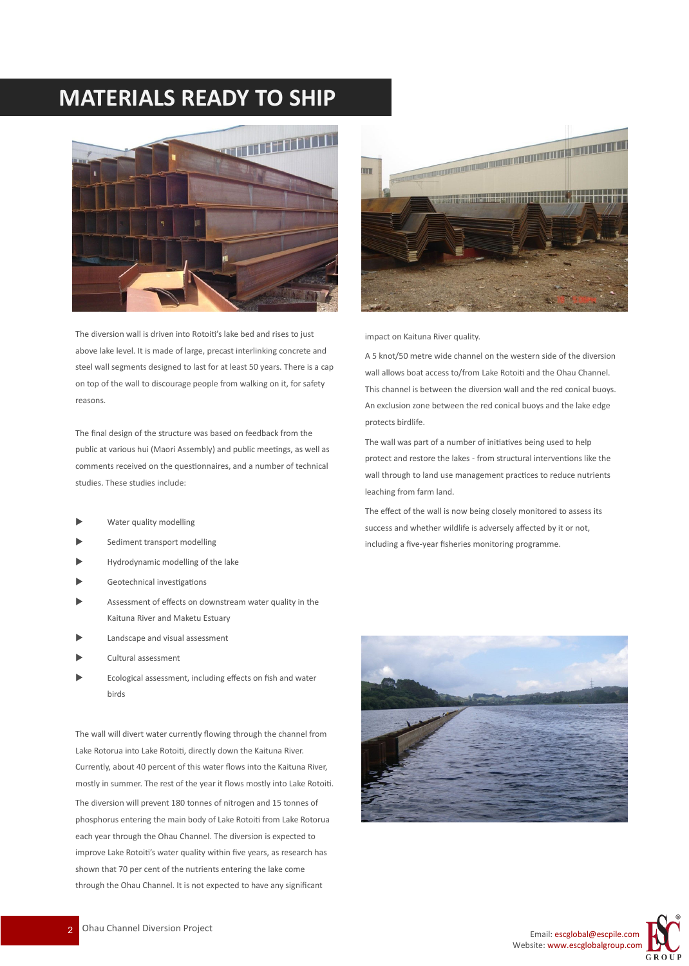### **MATERIALS READY TO SHIP**



The diversion wall is driven into Rotoiti's lake bed and rises to just above lake level. It is made of large, precast interlinking concrete and steel wall segments designed to last for at least 50 years. There is a cap on top of the wall to discourage people from walking on it, for safety reasons.

The final design of the structure was based on feedback from the public at various hui (Maori Assembly) and public meetings, as well as comments received on the questionnaires, and a number of technical studies. These studies include:

- Water quality modelling
- Sediment transport modelling
- Hydrodynamic modelling of the lake
- Geotechnical investigations
- Assessment of effects on downstream water quality in the Kaituna River and Maketu Estuary
- Landscape and visual assessment
- Cultural assessment
- Ecological assessment, including effects on fish and water birds

The wall will divert water currently flowing through the channel from Lake Rotorua into Lake Rotoiti, directly down the Kaituna River. Currently, about 40 percent of this water flows into the Kaituna River, mostly in summer. The rest of the year it flows mostly into Lake Rotoiti. The diversion will prevent 180 tonnes of nitrogen and 15 tonnes of phosphorus entering the main body of Lake Rotoiti from Lake Rotorua each year through the Ohau Channel. The diversion is expected to improve Lake Rotoiti's water quality within five years, as research has shown that 70 per cent of the nutrients entering the lake come through the Ohau Channel. It is not expected to have any significant



impact on Kaituna River quality.

A 5 knot/50 metre wide channel on the western side of the diversion wall allows boat access to/from Lake Rotoiti and the Ohau Channel. This channel is between the diversion wall and the red conical buoys. An exclusion zone between the red conical buoys and the lake edge protects birdlife.

The wall was part of a number of initiatives being used to help protect and restore the lakes - from structural interventions like the wall through to land use management practices to reduce nutrients leaching from farm land.

The effect of the wall is now being closely monitored to assess its success and whether wildlife is adversely affected by it or not, including a five-year fisheries monitoring programme.